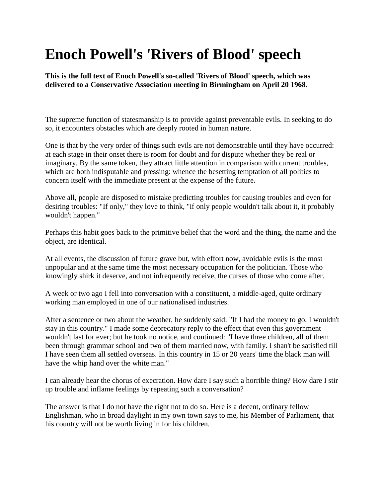## **Enoch Powell's 'Rivers of Blood' speech**

**This is the full text of Enoch Powell's so-called 'Rivers of Blood' speech, which was delivered to a Conservative Association meeting in Birmingham on April 20 1968.**

The supreme function of statesmanship is to provide against preventable evils. In seeking to do so, it encounters obstacles which are deeply rooted in human nature.

One is that by the very order of things such evils are not demonstrable until they have occurred: at each stage in their onset there is room for doubt and for dispute whether they be real or imaginary. By the same token, they attract little attention in comparison with current troubles, which are both indisputable and pressing: whence the besetting temptation of all politics to concern itself with the immediate present at the expense of the future.

Above all, people are disposed to mistake predicting troubles for causing troubles and even for desiring troubles: "If only," they love to think, "if only people wouldn't talk about it, it probably wouldn't happen."

Perhaps this habit goes back to the primitive belief that the word and the thing, the name and the object, are identical.

At all events, the discussion of future grave but, with effort now, avoidable evils is the most unpopular and at the same time the most necessary occupation for the politician. Those who knowingly shirk it deserve, and not infrequently receive, the curses of those who come after.

A week or two ago I fell into conversation with a constituent, a middle-aged, quite ordinary working man employed in one of our nationalised industries.

After a sentence or two about the weather, he suddenly said: "If I had the money to go, I wouldn't stay in this country." I made some deprecatory reply to the effect that even this government wouldn't last for ever; but he took no notice, and continued: "I have three children, all of them been through grammar school and two of them married now, with family. I shan't be satisfied till I have seen them all settled overseas. In this country in 15 or 20 years' time the black man will have the whip hand over the white man."

I can already hear the chorus of execration. How dare I say such a horrible thing? How dare I stir up trouble and inflame feelings by repeating such a conversation?

The answer is that I do not have the right not to do so. Here is a decent, ordinary fellow Englishman, who in broad daylight in my own town says to me, his Member of Parliament, that his country will not be worth living in for his children.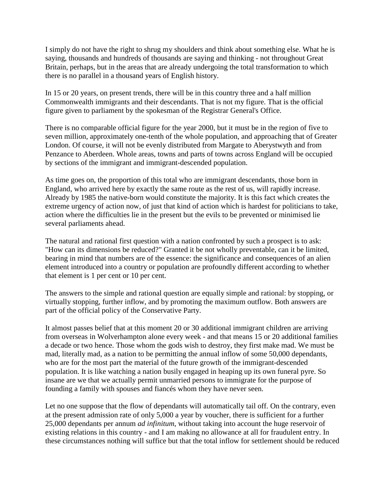I simply do not have the right to shrug my shoulders and think about something else. What he is saying, thousands and hundreds of thousands are saying and thinking - not throughout Great Britain, perhaps, but in the areas that are already undergoing the total transformation to which there is no parallel in a thousand years of English history.

In 15 or 20 years, on present trends, there will be in this country three and a half million Commonwealth immigrants and their descendants. That is not my figure. That is the official figure given to parliament by the spokesman of the Registrar General's Office.

There is no comparable official figure for the year 2000, but it must be in the region of five to seven million, approximately one-tenth of the whole population, and approaching that of Greater London. Of course, it will not be evenly distributed from Margate to Aberystwyth and from Penzance to Aberdeen. Whole areas, towns and parts of towns across England will be occupied by sections of the immigrant and immigrant-descended population.

As time goes on, the proportion of this total who are immigrant descendants, those born in England, who arrived here by exactly the same route as the rest of us, will rapidly increase. Already by 1985 the native-born would constitute the majority. It is this fact which creates the extreme urgency of action now, of just that kind of action which is hardest for politicians to take, action where the difficulties lie in the present but the evils to be prevented or minimised lie several parliaments ahead.

The natural and rational first question with a nation confronted by such a prospect is to ask: "How can its dimensions be reduced?" Granted it be not wholly preventable, can it be limited, bearing in mind that numbers are of the essence: the significance and consequences of an alien element introduced into a country or population are profoundly different according to whether that element is 1 per cent or 10 per cent.

The answers to the simple and rational question are equally simple and rational: by stopping, or virtually stopping, further inflow, and by promoting the maximum outflow. Both answers are part of the official policy of the Conservative Party.

It almost passes belief that at this moment 20 or 30 additional immigrant children are arriving from overseas in Wolverhampton alone every week - and that means 15 or 20 additional families a decade or two hence. Those whom the gods wish to destroy, they first make mad. We must be mad, literally mad, as a nation to be permitting the annual inflow of some 50,000 dependants, who are for the most part the material of the future growth of the immigrant-descended population. It is like watching a nation busily engaged in heaping up its own funeral pyre. So insane are we that we actually permit unmarried persons to immigrate for the purpose of founding a family with spouses and fiancés whom they have never seen.

Let no one suppose that the flow of dependants will automatically tail off. On the contrary, even at the present admission rate of only 5,000 a year by voucher, there is sufficient for a further 25,000 dependants per annum *ad infinitum*, without taking into account the huge reservoir of existing relations in this country - and I am making no allowance at all for fraudulent entry. In these circumstances nothing will suffice but that the total inflow for settlement should be reduced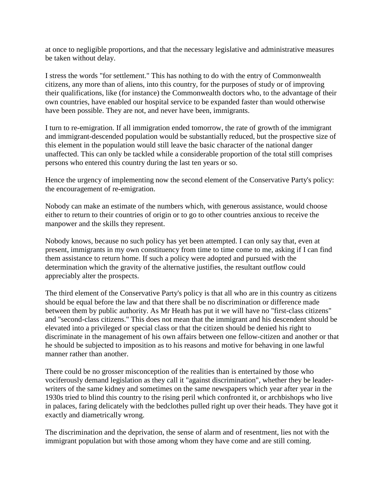at once to negligible proportions, and that the necessary legislative and administrative measures be taken without delay.

I stress the words "for settlement." This has nothing to do with the entry of Commonwealth citizens, any more than of aliens, into this country, for the purposes of study or of improving their qualifications, like (for instance) the Commonwealth doctors who, to the advantage of their own countries, have enabled our hospital service to be expanded faster than would otherwise have been possible. They are not, and never have been, immigrants.

I turn to re-emigration. If all immigration ended tomorrow, the rate of growth of the immigrant and immigrant-descended population would be substantially reduced, but the prospective size of this element in the population would still leave the basic character of the national danger unaffected. This can only be tackled while a considerable proportion of the total still comprises persons who entered this country during the last ten years or so.

Hence the urgency of implementing now the second element of the Conservative Party's policy: the encouragement of re-emigration.

Nobody can make an estimate of the numbers which, with generous assistance, would choose either to return to their countries of origin or to go to other countries anxious to receive the manpower and the skills they represent.

Nobody knows, because no such policy has yet been attempted. I can only say that, even at present, immigrants in my own constituency from time to time come to me, asking if I can find them assistance to return home. If such a policy were adopted and pursued with the determination which the gravity of the alternative justifies, the resultant outflow could appreciably alter the prospects.

The third element of the Conservative Party's policy is that all who are in this country as citizens should be equal before the law and that there shall be no discrimination or difference made between them by public authority. As Mr Heath has put it we will have no "first-class citizens" and "second-class citizens." This does not mean that the immigrant and his descendent should be elevated into a privileged or special class or that the citizen should be denied his right to discriminate in the management of his own affairs between one fellow-citizen and another or that he should be subjected to imposition as to his reasons and motive for behaving in one lawful manner rather than another.

There could be no grosser misconception of the realities than is entertained by those who vociferously demand legislation as they call it "against discrimination", whether they be leaderwriters of the same kidney and sometimes on the same newspapers which year after year in the 1930s tried to blind this country to the rising peril which confronted it, or archbishops who live in palaces, faring delicately with the bedclothes pulled right up over their heads. They have got it exactly and diametrically wrong.

The discrimination and the deprivation, the sense of alarm and of resentment, lies not with the immigrant population but with those among whom they have come and are still coming.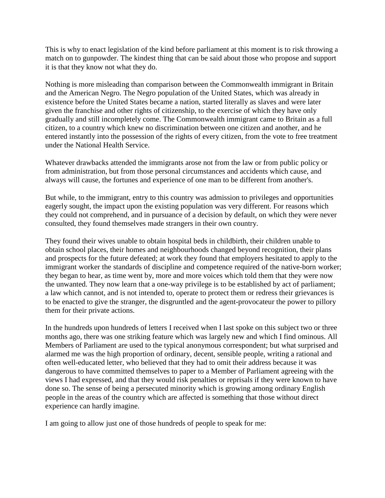This is why to enact legislation of the kind before parliament at this moment is to risk throwing a match on to gunpowder. The kindest thing that can be said about those who propose and support it is that they know not what they do.

Nothing is more misleading than comparison between the Commonwealth immigrant in Britain and the American Negro. The Negro population of the United States, which was already in existence before the United States became a nation, started literally as slaves and were later given the franchise and other rights of citizenship, to the exercise of which they have only gradually and still incompletely come. The Commonwealth immigrant came to Britain as a full citizen, to a country which knew no discrimination between one citizen and another, and he entered instantly into the possession of the rights of every citizen, from the vote to free treatment under the National Health Service.

Whatever drawbacks attended the immigrants arose not from the law or from public policy or from administration, but from those personal circumstances and accidents which cause, and always will cause, the fortunes and experience of one man to be different from another's.

But while, to the immigrant, entry to this country was admission to privileges and opportunities eagerly sought, the impact upon the existing population was very different. For reasons which they could not comprehend, and in pursuance of a decision by default, on which they were never consulted, they found themselves made strangers in their own country.

They found their wives unable to obtain hospital beds in childbirth, their children unable to obtain school places, their homes and neighbourhoods changed beyond recognition, their plans and prospects for the future defeated; at work they found that employers hesitated to apply to the immigrant worker the standards of discipline and competence required of the native-born worker; they began to hear, as time went by, more and more voices which told them that they were now the unwanted. They now learn that a one-way privilege is to be established by act of parliament; a law which cannot, and is not intended to, operate to protect them or redress their grievances is to be enacted to give the stranger, the disgruntled and the agent-provocateur the power to pillory them for their private actions.

In the hundreds upon hundreds of letters I received when I last spoke on this subject two or three months ago, there was one striking feature which was largely new and which I find ominous. All Members of Parliament are used to the typical anonymous correspondent; but what surprised and alarmed me was the high proportion of ordinary, decent, sensible people, writing a rational and often well-educated letter, who believed that they had to omit their address because it was dangerous to have committed themselves to paper to a Member of Parliament agreeing with the views I had expressed, and that they would risk penalties or reprisals if they were known to have done so. The sense of being a persecuted minority which is growing among ordinary English people in the areas of the country which are affected is something that those without direct experience can hardly imagine.

I am going to allow just one of those hundreds of people to speak for me: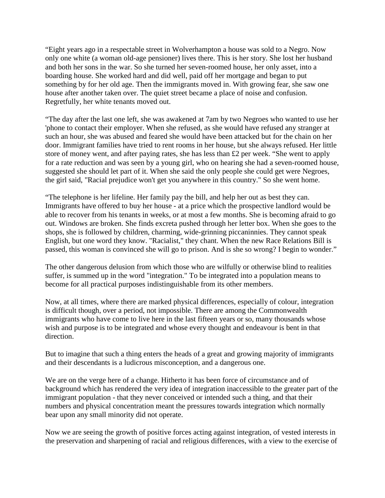"Eight years ago in a respectable street in Wolverhampton a house was sold to a Negro. Now only one white (a woman old-age pensioner) lives there. This is her story. She lost her husband and both her sons in the war. So she turned her seven-roomed house, her only asset, into a boarding house. She worked hard and did well, paid off her mortgage and began to put something by for her old age. Then the immigrants moved in. With growing fear, she saw one house after another taken over. The quiet street became a place of noise and confusion. Regretfully, her white tenants moved out.

"The day after the last one left, she was awakened at 7am by two Negroes who wanted to use her 'phone to contact their employer. When she refused, as she would have refused any stranger at such an hour, she was abused and feared she would have been attacked but for the chain on her door. Immigrant families have tried to rent rooms in her house, but she always refused. Her little store of money went, and after paying rates, she has less than £2 per week. "She went to apply for a rate reduction and was seen by a young girl, who on hearing she had a seven-roomed house, suggested she should let part of it. When she said the only people she could get were Negroes, the girl said, "Racial prejudice won't get you anywhere in this country." So she went home.

"The telephone is her lifeline. Her family pay the bill, and help her out as best they can. Immigrants have offered to buy her house - at a price which the prospective landlord would be able to recover from his tenants in weeks, or at most a few months. She is becoming afraid to go out. Windows are broken. She finds excreta pushed through her letter box. When she goes to the shops, she is followed by children, charming, wide-grinning piccaninnies. They cannot speak English, but one word they know. "Racialist," they chant. When the new Race Relations Bill is passed, this woman is convinced she will go to prison. And is she so wrong? I begin to wonder."

The other dangerous delusion from which those who are wilfully or otherwise blind to realities suffer, is summed up in the word "integration." To be integrated into a population means to become for all practical purposes indistinguishable from its other members.

Now, at all times, where there are marked physical differences, especially of colour, integration is difficult though, over a period, not impossible. There are among the Commonwealth immigrants who have come to live here in the last fifteen years or so, many thousands whose wish and purpose is to be integrated and whose every thought and endeavour is bent in that direction.

But to imagine that such a thing enters the heads of a great and growing majority of immigrants and their descendants is a ludicrous misconception, and a dangerous one.

We are on the verge here of a change. Hitherto it has been force of circumstance and of background which has rendered the very idea of integration inaccessible to the greater part of the immigrant population - that they never conceived or intended such a thing, and that their numbers and physical concentration meant the pressures towards integration which normally bear upon any small minority did not operate.

Now we are seeing the growth of positive forces acting against integration, of vested interests in the preservation and sharpening of racial and religious differences, with a view to the exercise of